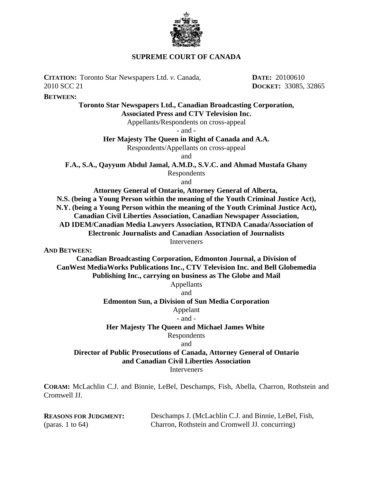

## **SUPREME COURT OF CANADA**

**CITATION:** Toronto Star Newspapers Ltd. *v.* Canada, 2010 SCC 21

**BETWEEN:**

## **Toronto Star Newspapers Ltd., Canadian Broadcasting Corporation, Associated Press and CTV Television Inc.**

Appellants/Respondents on cross-appeal

- and -

## **Her Majesty The Queen in Right of Canada and A.A.**

Respondents/Appellants on cross-appeal

and

**F.A., S.A., Qayyum Abdul Jamal, A.M.D., S.V.C. and Ahmad Mustafa Ghany**

Respondents

and

**Attorney General of Ontario, Attorney General of Alberta,** 

**N.S. (being a Young Person within the meaning of the Youth Criminal Justice Act),**

**N.Y. (being a Young Person within the meaning of the Youth Criminal Justice Act),**

**Canadian Civil Liberties Association, Canadian Newspaper Association,**

**AD IDEM/Canadian Media Lawyers Association, RTNDA Canada/Association of Electronic Journalists and Canadian Association of Journalists**

Interveners

**AND BETWEEN:**

**Canadian Broadcasting Corporation, Edmonton Journal, a Division of CanWest MediaWorks Publications Inc., CTV Television Inc. and Bell Globemedia Publishing Inc., carrying on business as The Globe and Mail**

## Appellants

and

## **Edmonton Sun, a Division of Sun Media Corporation**

Appelant

# - and -

## **Her Majesty The Queen and Michael James White**

Respondents

## and

# **Director of Public Prosecutions of Canada, Attorney General of Ontario and Canadian Civil Liberties Association**

**Interveners** 

**CORAM:** McLachlin C.J. and Binnie, LeBel, Deschamps, Fish, Abella, Charron, Rothstein and Cromwell JJ.

| <b>REASONS FOR JUDGMENT:</b> | Deschamps J. (McLachlin C.J. and Binnie, LeBel, Fish, |
|------------------------------|-------------------------------------------------------|
| (paras. 1 to $64$ )          | Charron, Rothstein and Cromwell JJ. concurring)       |

**DATE:** 20100610 **DOCKET:** 33085, 32865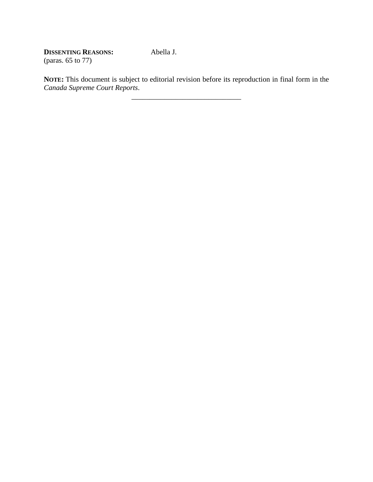**DISSENTING REASONS:** (paras. 65 to 77)

**NOTE:** This document is subject to editorial revision before its reproduction in final form in the *Canada Supreme Court Reports*.

\_\_\_\_\_\_\_\_\_\_\_\_\_\_\_\_\_\_\_\_\_\_\_\_\_\_\_\_\_\_

Abella J.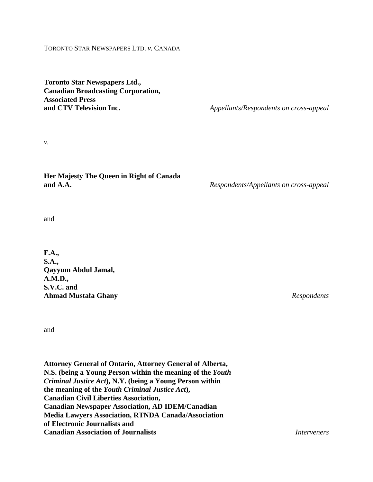## TORONTO STAR NEWSPAPERS LTD. *v.* CANADA

**Toronto Star Newspapers Ltd., Canadian Broadcasting Corporation, Associated Press and CTV Television Inc.** *Appellants/Respondents on cross-appeal*

*v.*

**Her Majesty The Queen in Right of Canada and A.A.** *Respondents/Appellants on cross-appeal*

and

**F.A., S.A., Qayyum Abdul Jamal, A.M.D., S.V.C. and Ahmad Mustafa Ghany** *Respondents*

and

**Attorney General of Ontario, Attorney General of Alberta, N.S. (being a Young Person within the meaning of the** *Youth Criminal Justice Act***), N.Y. (being a Young Person within the meaning of the** *Youth Criminal Justice Act***), Canadian Civil Liberties Association, Canadian Newspaper Association, AD IDEM/Canadian Media Lawyers Association, RTNDA Canada/Association of Electronic Journalists and Canadian Association of Journalists** *Interveners*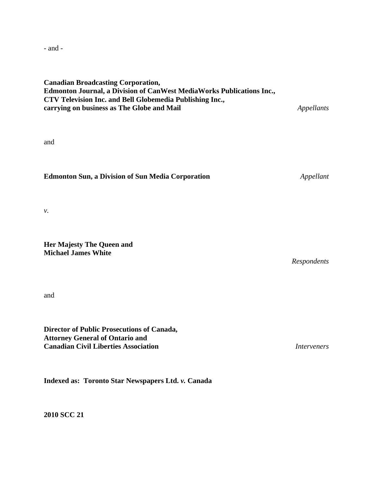- and -

## **Canadian Broadcasting Corporation, Edmonton Journal, a Division of CanWest MediaWorks Publications Inc., CTV Television Inc. and Bell Globemedia Publishing Inc., carrying on business as The Globe and Mail** *Appellants*

and

**Edmonton Sun, a Division of Sun Media Corporation** *Appellant*

*v.*

**Her Majesty The Queen and Michael James White** 

*Respondents*

and

**Director of Public Prosecutions of Canada, Attorney General of Ontario and Canadian Civil Liberties Association** *Interveners*

**Indexed as: Toronto Star Newspapers Ltd.** *v.* **Canada**

**2010 SCC 21**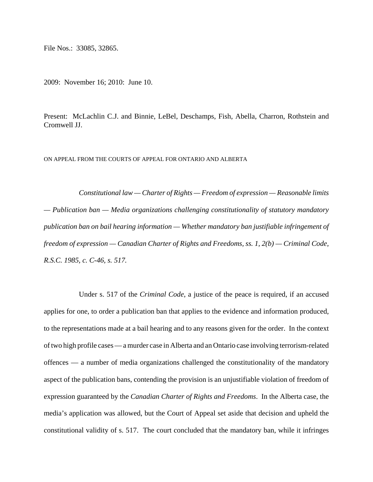File Nos.: 33085, 32865.

2009: November 16; 2010: June 10.

Present: McLachlin C.J. and Binnie, LeBel, Deschamps, Fish, Abella, Charron, Rothstein and Cromwell JJ.

ON APPEAL FROM THE COURTS OF APPEAL FOR ONTARIO AND ALBERTA

*Constitutional law — Charter of Rights — Freedom of expression — Reasonable limits — Publication ban — Media organizations challenging constitutionality of statutory mandatory publication ban on bail hearing information — Whether mandatory ban justifiable infringement of freedom of expression — Canadian Charter of Rights and Freedoms, ss. 1, 2(b) — Criminal Code, R.S.C. 1985, c. C-46, s. 517.* 

Under s. 517 of the *Criminal Code*, a justice of the peace is required, if an accused applies for one, to order a publication ban that applies to the evidence and information produced, to the representations made at a bail hearing and to any reasons given for the order. In the context of two high profile cases — a murder case in Alberta and an Ontario case involving terrorism-related offences — a number of media organizations challenged the constitutionality of the mandatory aspect of the publication bans, contending the provision is an unjustifiable violation of freedom of expression guaranteed by the *Canadian Charter of Rights and Freedoms*. In the Alberta case, the media's application was allowed, but the Court of Appeal set aside that decision and upheld the constitutional validity of s. 517. The court concluded that the mandatory ban, while it infringes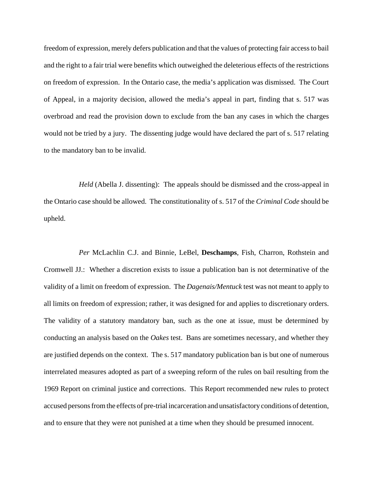freedom of expression, merely defers publication and that the values of protecting fair access to bail and the right to a fair trial were benefits which outweighed the deleterious effects of the restrictions on freedom of expression. In the Ontario case, the media's application was dismissed. The Court of Appeal, in a majority decision, allowed the media's appeal in part, finding that s. 517 was overbroad and read the provision down to exclude from the ban any cases in which the charges would not be tried by a jury. The dissenting judge would have declared the part of s. 517 relating to the mandatory ban to be invalid.

*Held* (Abella J. dissenting): The appeals should be dismissed and the cross-appeal in the Ontario case should be allowed. The constitutionality of s. 517 of the *Criminal Code* should be upheld.

*Per* McLachlin C.J. and Binnie, LeBel, **Deschamps**, Fish, Charron, Rothstein and Cromwell JJ.: Whether a discretion exists to issue a publication ban is not determinative of the validity of a limit on freedom of expression. The *Dagenais/Mentuck* test was not meant to apply to all limits on freedom of expression; rather, it was designed for and applies to discretionary orders. The validity of a statutory mandatory ban, such as the one at issue, must be determined by conducting an analysis based on the *Oakes* test. Bans are sometimes necessary, and whether they are justified depends on the context. The s. 517 mandatory publication ban is but one of numerous interrelated measures adopted as part of a sweeping reform of the rules on bail resulting from the 1969 Report on criminal justice and corrections. This Report recommended new rules to protect accused persons from the effects of pre-trial incarceration and unsatisfactory conditions of detention, and to ensure that they were not punished at a time when they should be presumed innocent.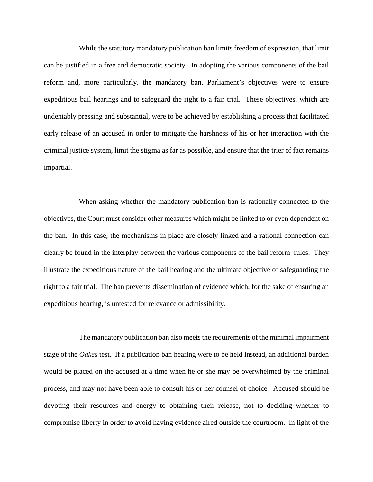While the statutory mandatory publication ban limits freedom of expression, that limit can be justified in a free and democratic society. In adopting the various components of the bail reform and, more particularly, the mandatory ban, Parliament's objectives were to ensure expeditious bail hearings and to safeguard the right to a fair trial. These objectives, which are undeniably pressing and substantial, were to be achieved by establishing a process that facilitated early release of an accused in order to mitigate the harshness of his or her interaction with the criminal justice system, limit the stigma as far as possible, and ensure that the trier of fact remains impartial.

When asking whether the mandatory publication ban is rationally connected to the objectives, the Court must consider other measures which might be linked to or even dependent on the ban. In this case, the mechanisms in place are closely linked and a rational connection can clearly be found in the interplay between the various components of the bail reform rules. They illustrate the expeditious nature of the bail hearing and the ultimate objective of safeguarding the right to a fair trial. The ban prevents dissemination of evidence which, for the sake of ensuring an expeditious hearing, is untested for relevance or admissibility.

The mandatory publication ban also meets the requirements of the minimal impairment stage of the *Oakes* test. If a publication ban hearing were to be held instead, an additional burden would be placed on the accused at a time when he or she may be overwhelmed by the criminal process, and may not have been able to consult his or her counsel of choice. Accused should be devoting their resources and energy to obtaining their release, not to deciding whether to compromise liberty in order to avoid having evidence aired outside the courtroom. In light of the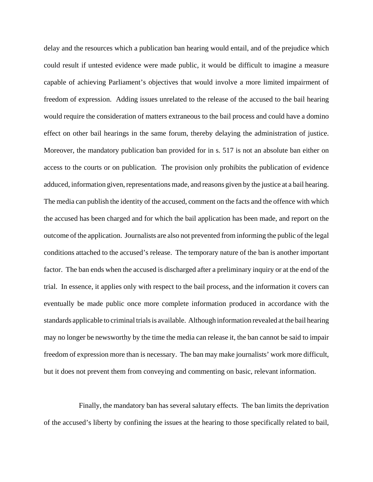delay and the resources which a publication ban hearing would entail, and of the prejudice which could result if untested evidence were made public, it would be difficult to imagine a measure capable of achieving Parliament's objectives that would involve a more limited impairment of freedom of expression. Adding issues unrelated to the release of the accused to the bail hearing would require the consideration of matters extraneous to the bail process and could have a domino effect on other bail hearings in the same forum, thereby delaying the administration of justice. Moreover, the mandatory publication ban provided for in s. 517 is not an absolute ban either on access to the courts or on publication. The provision only prohibits the publication of evidence adduced, information given, representations made, and reasons given by the justice at a bail hearing. The media can publish the identity of the accused, comment on the facts and the offence with which the accused has been charged and for which the bail application has been made, and report on the outcome of the application. Journalists are also not prevented from informing the public of the legal conditions attached to the accused's release. The temporary nature of the ban is another important factor. The ban ends when the accused is discharged after a preliminary inquiry or at the end of the trial. In essence, it applies only with respect to the bail process, and the information it covers can eventually be made public once more complete information produced in accordance with the standards applicable to criminal trials is available. Although information revealed at the bail hearing may no longer be newsworthy by the time the media can release it, the ban cannot be said to impair freedom of expression more than is necessary. The ban may make journalists' work more difficult, but it does not prevent them from conveying and commenting on basic, relevant information.

Finally, the mandatory ban has several salutary effects. The ban limits the deprivation of the accused's liberty by confining the issues at the hearing to those specifically related to bail,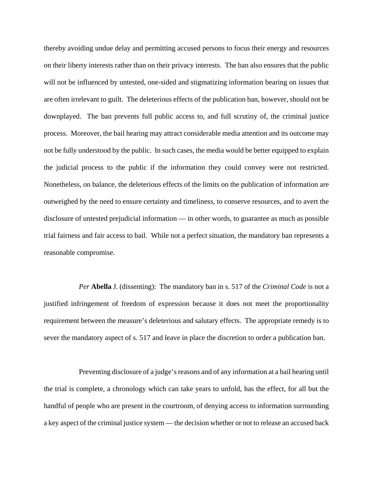thereby avoiding undue delay and permitting accused persons to focus their energy and resources on their liberty interests rather than on their privacy interests. The ban also ensures that the public will not be influenced by untested, one-sided and stigmatizing information bearing on issues that are often irrelevant to guilt. The deleterious effects of the publication ban, however, should not be downplayed. The ban prevents full public access to, and full scrutiny of, the criminal justice process. Moreover, the bail hearing may attract considerable media attention and its outcome may not be fully understood by the public. In such cases, the media would be better equipped to explain the judicial process to the public if the information they could convey were not restricted. Nonetheless, on balance, the deleterious effects of the limits on the publication of information are outweighed by the need to ensure certainty and timeliness, to conserve resources, and to avert the disclosure of untested prejudicial information — in other words, to guarantee as much as possible trial fairness and fair access to bail. While not a perfect situation, the mandatory ban represents a reasonable compromise.

*Per* **Abella** J. (dissenting): The mandatory ban in s. 517 of the *Criminal Code* is not a justified infringement of freedom of expression because it does not meet the proportionality requirement between the measure's deleterious and salutary effects. The appropriate remedy is to sever the mandatory aspect of s. 517 and leave in place the discretion to order a publication ban.

Preventing disclosure of a judge's reasons and of any information at a bail hearing until the trial is complete, a chronology which can take years to unfold, has the effect, for all but the handful of people who are present in the courtroom, of denying access to information surrounding a key aspect of the criminal justice system — the decision whether or not to release an accused back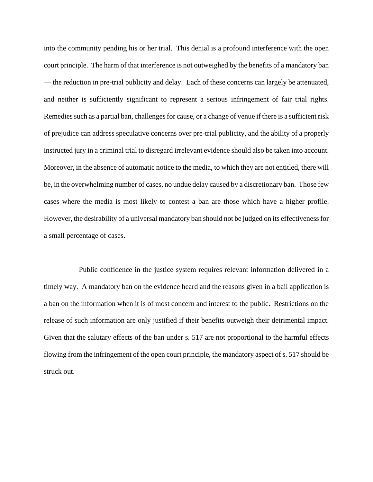into the community pending his or her trial. This denial is a profound interference with the open court principle. The harm of that interference is not outweighed by the benefits of a mandatory ban — the reduction in pre-trial publicity and delay. Each of these concerns can largely be attenuated, and neither is sufficiently significant to represent a serious infringement of fair trial rights. Remedies such as a partial ban, challenges for cause, or a change of venue if there is a sufficient risk of prejudice can address speculative concerns over pre-trial publicity, and the ability of a properly instructed jury in a criminal trial to disregard irrelevant evidence should also be taken into account. Moreover, in the absence of automatic notice to the media, to which they are not entitled, there will be, in the overwhelming number of cases, no undue delay caused by a discretionary ban. Those few cases where the media is most likely to contest a ban are those which have a higher profile. However, the desirability of a universal mandatory ban should not be judged on its effectiveness for a small percentage of cases.

Public confidence in the justice system requires relevant information delivered in a timely way. A mandatory ban on the evidence heard and the reasons given in a bail application is a ban on the information when it is of most concern and interest to the public. Restrictions on the release of such information are only justified if their benefits outweigh their detrimental impact. Given that the salutary effects of the ban under s. 517 are not proportional to the harmful effects flowing from the infringement of the open court principle, the mandatory aspect of s. 517 should be struck out.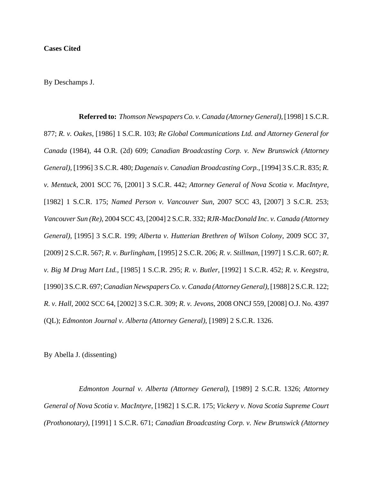## **Cases Cited**

By Deschamps J.

**Referred to:** *Thomson Newspapers Co. v. Canada (Attorney General)*, [1998] 1 S.C.R. 877; *R. v. Oakes*, [1986] 1 S.C.R. 103; *Re Global Communications Ltd. and Attorney General for Canada* (1984), 44 O.R. (2d) 609; *Canadian Broadcasting Corp. v. New Brunswick (Attorney General)*, [1996] 3 S.C.R. 480; *Dagenais v. Canadian Broadcasting Corp.*, [1994] 3 S.C.R. 835; *R. v. Mentuck*, 2001 SCC 76, [2001] 3 S.C.R. 442; *Attorney General of Nova Scotia v. MacIntyre*, [1982] 1 S.C.R. 175; *Named Person v. Vancouver Sun*, 2007 SCC 43, [2007] 3 S.C.R. 253; *Vancouver Sun (Re)*, 2004 SCC 43, [2004] 2 S.C.R. 332; *RJR-MacDonald Inc. v. Canada (Attorney General)*, [1995] 3 S.C.R. 199; *Alberta v. Hutterian Brethren of Wilson Colony*, 2009 SCC 37, [2009] 2 S.C.R. 567; *R. v. Burlingham*, [1995] 2 S.C.R. 206; *R. v. Stillman*, [1997] 1 S.C.R. 607; *R. v. Big M Drug Mart Ltd.*, [1985] 1 S.C.R. 295; *R. v. Butler*, [1992] 1 S.C.R. 452; *R. v. Keegstra*, [1990] 3 S.C.R. 697; *Canadian Newspapers Co. v. Canada (Attorney General)*, [1988] 2 S.C.R. 122; *R. v. Hall*, 2002 SCC 64, [2002] 3 S.C.R. 309; *R. v. Jevons*, 2008 ONCJ 559, [2008] O.J. No. 4397 (QL); *Edmonton Journal v. Alberta (Attorney General)*, [1989] 2 S.C.R. 1326.

By Abella J. (dissenting)

*Edmonton Journal v. Alberta (Attorney General)*, [1989] 2 S.C.R. 1326; *Attorney General of Nova Scotia v. MacIntyre*, [1982] 1 S.C.R. 175; *Vickery v. Nova Scotia Supreme Court (Prothonotary)*, [1991] 1 S.C.R. 671; *Canadian Broadcasting Corp. v. New Brunswick (Attorney*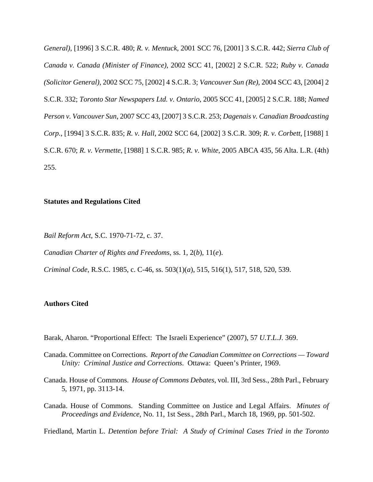*General)*, [1996] 3 S.C.R. 480; *R. v. Mentuck*, 2001 SCC 76, [2001] 3 S.C.R. 442; *Sierra Club of Canada v. Canada (Minister of Finance)*, 2002 SCC 41, [2002] 2 S.C.R. 522; *Ruby v. Canada (Solicitor General)*, 2002 SCC 75, [2002] 4 S.C.R. 3; *Vancouver Sun (Re)*, 2004 SCC 43, [2004] 2 S.C.R. 332; *Toronto Star Newspapers Ltd. v. Ontario*, 2005 SCC 41, [2005] 2 S.C.R. 188; *Named Person v. Vancouver Sun*, 2007 SCC 43, [2007] 3 S.C.R. 253; *Dagenais v. Canadian Broadcasting Corp.*, [1994] 3 S.C.R. 835; *R. v. Hall*, 2002 SCC 64, [2002] 3 S.C.R. 309; *R. v. Corbett*, [1988] 1 S.C.R. 670; *R. v. Vermette*, [1988] 1 S.C.R. 985; *R. v. White*, 2005 ABCA 435, 56 Alta. L.R. (4th) 255.

#### **Statutes and Regulations Cited**

*Bail Reform Act*, S.C. 1970-71-72, c. 37.

*Canadian Charter of Rights and Freedoms*, ss. 1, 2(*b*), 11(*e*).

*Criminal Code*, R.S.C. 1985, c. C-46, ss. 503(1)(*a*), 515, 516(1), 517, 518, 520, 539.

#### **Authors Cited**

Barak, Aharon. "Proportional Effect: The Israeli Experience" (2007), 57 *U.T.L.J.* 369.

- Canada. Committee on Corrections. *Report of the Canadian Committee on Corrections Toward Unity: Criminal Justice and Corrections*. Ottawa: Queen's Printer, 1969.
- Canada. House of Commons. *House of Commons Debates*, vol. III, 3rd Sess., 28th Parl., February 5, 1971, pp. 3113-14.
- Canada. House of Commons. Standing Committee on Justice and Legal Affairs. *Minutes of Proceedings and Evidence*, No. 11, 1st Sess., 28th Parl., March 18, 1969, pp. 501-502.

Friedland, Martin L. *Detention before Trial: A Study of Criminal Cases Tried in the Toronto*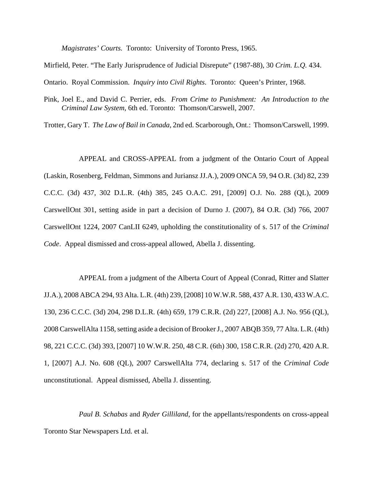*Magistrates' Courts.* Toronto: University of Toronto Press, 1965.

Mirfield, Peter. "The Early Jurisprudence of Judicial Disrepute" (1987-88), 30 *Crim. L.Q.* 434.

Ontario. Royal Commission. *Inquiry into Civil Rights*. Toronto: Queen's Printer, 1968.

Pink, Joel E., and David C. Perrier, eds. *From Crime to Punishment: An Introduction to the Criminal Law System*, 6th ed. Toronto: Thomson/Carswell, 2007.

Trotter, Gary T. *The Law of Bail in Canada*, 2nd ed. Scarborough, Ont.: Thomson/Carswell, 1999.

APPEAL and CROSS-APPEAL from a judgment of the Ontario Court of Appeal (Laskin, Rosenberg, Feldman, Simmons and Juriansz JJ.A.), 2009 ONCA 59, 94 O.R. (3d) 82, 239 C.C.C. (3d) 437, 302 D.L.R. (4th) 385, 245 O.A.C. 291, [2009] O.J. No. 288 (QL), 2009 CarswellOnt 301, setting aside in part a decision of Durno J. (2007), 84 O.R. (3d) 766, 2007 CarswellOnt 1224, 2007 CanLII 6249, upholding the constitutionality of s. 517 of the *Criminal Code*. Appeal dismissed and cross-appeal allowed, Abella J. dissenting.

APPEAL from a judgment of the Alberta Court of Appeal (Conrad, Ritter and Slatter JJ.A.), 2008 ABCA 294, 93 Alta. L.R. (4th) 239, [2008] 10 W.W.R. 588, 437 A.R. 130, 433 W.A.C. 130, 236 C.C.C. (3d) 204, 298 D.L.R. (4th) 659, 179 C.R.R. (2d) 227, [2008] A.J. No. 956 (QL), 2008 CarswellAlta 1158, setting aside a decision of Brooker J., 2007 ABQB 359, 77 Alta. L.R. (4th) 98, 221 C.C.C. (3d) 393, [2007] 10 W.W.R. 250, 48 C.R. (6th) 300, 158 C.R.R. (2d) 270, 420 A.R. 1, [2007] A.J. No. 608 (QL), 2007 CarswellAlta 774, declaring s. 517 of the *Criminal Code* unconstitutional. Appeal dismissed, Abella J. dissenting.

*Paul B. Schabas* and *Ryder Gilliland*, for the appellants/respondents on cross-appeal Toronto Star Newspapers Ltd. et al.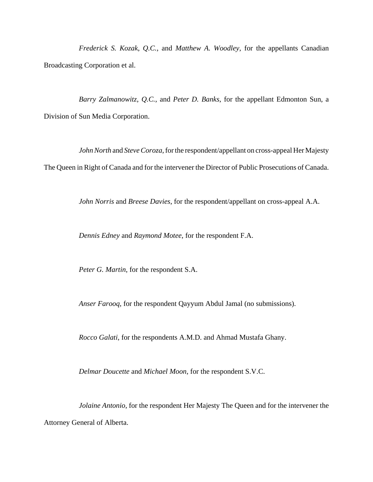*Frederick S. Kozak*, *Q.C.*, and *Matthew A. Woodley*, for the appellants Canadian Broadcasting Corporation et al.

*Barry Zalmanowitz*, *Q.C.*, and *Peter D. Banks*, for the appellant Edmonton Sun, a Division of Sun Media Corporation.

*JohnNorth* and *Steve Coroza*, for the respondent/appellant on cross-appeal Her Majesty The Queen in Right of Canada and for the intervener the Director of Public Prosecutions of Canada.

*John Norris* and *Breese Davies*, for the respondent/appellant on cross-appeal A.A.

*Dennis Edney* and *Raymond Motee*, for the respondent F.A.

*Peter G. Martin*, for the respondent S.A.

*Anser Farooq*, for the respondent Qayyum Abdul Jamal (no submissions).

*Rocco Galati*, for the respondents A.M.D. and Ahmad Mustafa Ghany.

*Delmar Doucette* and *Michael Moon*, for the respondent S.V.C.

*Jolaine Antonio*, for the respondent Her Majesty The Queen and for the intervener the Attorney General of Alberta.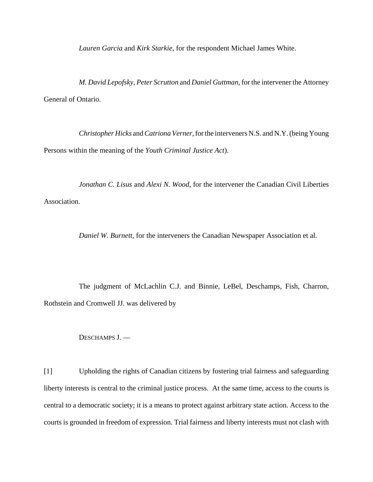*Lauren Garcia* and *Kirk Starkie*, for the respondent Michael James White.

*M. David Lepofsky*, *Peter Scrutton* and *Daniel Guttman*, for the intervener the Attorney General of Ontario.

*Christopher Hicks* and *Catriona Verner*, for the interveners N.S. and N.Y. (being Young Persons within the meaning of the *Youth Criminal Justice Act*).

*Jonathan C. Lisus* and *Alexi N. Wood*, for the intervener the Canadian Civil Liberties Association.

*Daniel W. Burnett*, for the interveners the Canadian Newspaper Association et al.

The judgment of McLachlin C.J. and Binnie, LeBel, Deschamps, Fish, Charron, Rothstein and Cromwell JJ. was delivered by

DESCHAMPS J. —

[1] Upholding the rights of Canadian citizens by fostering trial fairness and safeguarding liberty interests is central to the criminal justice process. At the same time, access to the courts is central to a democratic society; it is a means to protect against arbitrary state action. Access to the courts is grounded in freedom of expression. Trial fairness and liberty interests must not clash with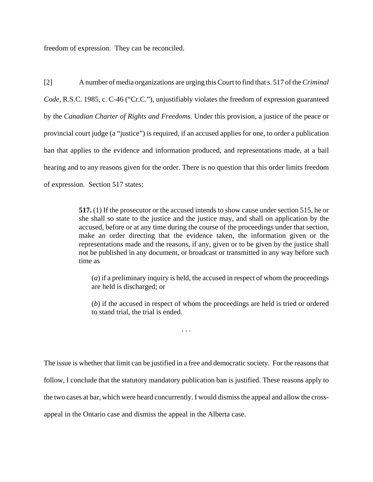freedom of expression. They can be reconciled.

[2] A number of media organizations are urging this Court to find that s. 517 of the *Criminal Code*, R.S.C. 1985, c. C-46 ("Cr.C."), unjustifiably violates the freedom of expression guaranteed by the *Canadian Charter of Rights and Freedoms*. Under this provision, a justice of the peace or provincial court judge (a "justice") is required, if an accused applies for one, to order a publication ban that applies to the evidence and information produced, and representations made, at a bail hearing and to any reasons given for the order. There is no question that this order limits freedom of expression. Section 517 states:

> **517.** (1) If the prosecutor or the accused intends to show cause under section 515, he or she shall so state to the justice and the justice may, and shall on application by the accused, before or at any time during the course of the proceedings under that section, make an order directing that the evidence taken, the information given or the representations made and the reasons, if any, given or to be given by the justice shall not be published in any document, or broadcast or transmitted in any way before such time as

(*a*) if a preliminary inquiry is held, the accused in respect of whom the proceedings are held is discharged; or

(*b*) if the accused in respect of whom the proceedings are held is tried or ordered to stand trial, the trial is ended.

The issue is whether that limit can be justified in a free and democratic society. For the reasons that follow, I conclude that the statutory mandatory publication ban is justified. These reasons apply to the two cases at bar, which were heard concurrently. I would dismiss the appeal and allow the crossappeal in the Ontario case and dismiss the appeal in the Alberta case.

. . .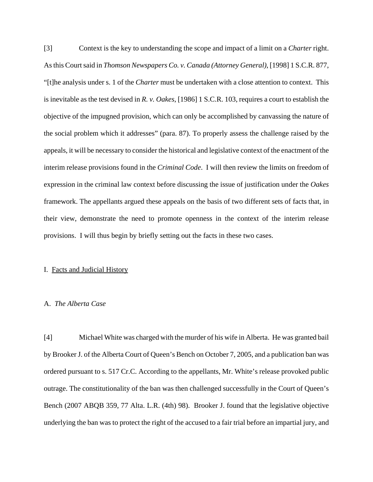[3] Context is the key to understanding the scope and impact of a limit on a *Charter* right. As this Court said in *Thomson Newspapers Co. v. Canada (Attorney General)*, [1998] 1 S.C.R. 877, "[t]he analysis under s. 1 of the *Charter* must be undertaken with a close attention to context. This is inevitable as the test devised in *R. v. Oakes*, [1986] 1 S.C.R. 103, requires a court to establish the objective of the impugned provision, which can only be accomplished by canvassing the nature of the social problem which it addresses" (para. 87). To properly assess the challenge raised by the appeals, it will be necessary to consider the historical and legislative context of the enactment of the interim release provisions found in the *Criminal Code*. I will then review the limits on freedom of expression in the criminal law context before discussing the issue of justification under the *Oakes* framework. The appellants argued these appeals on the basis of two different sets of facts that, in their view, demonstrate the need to promote openness in the context of the interim release provisions. I will thus begin by briefly setting out the facts in these two cases.

#### I. Facts and Judicial History

#### A. *The Alberta Case*

[4] Michael White was charged with the murder of his wife in Alberta. He was granted bail by Brooker J. of the Alberta Court of Queen's Bench on October 7, 2005, and a publication ban was ordered pursuant to s. 517 Cr.C. According to the appellants, Mr. White's release provoked public outrage. The constitutionality of the ban was then challenged successfully in the Court of Queen's Bench (2007 ABQB 359, 77 Alta. L.R. (4th) 98). Brooker J. found that the legislative objective underlying the ban was to protect the right of the accused to a fair trial before an impartial jury, and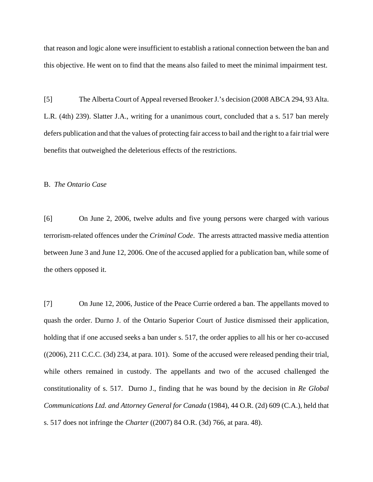that reason and logic alone were insufficient to establish a rational connection between the ban and this objective. He went on to find that the means also failed to meet the minimal impairment test.

[5] The Alberta Court of Appeal reversed Brooker J.'s decision (2008 ABCA 294, 93 Alta. L.R. (4th) 239). Slatter J.A., writing for a unanimous court, concluded that a s. 517 ban merely defers publication and that the values of protecting fair access to bail and the right to a fair trial were benefits that outweighed the deleterious effects of the restrictions.

#### B. *The Ontario Case*

[6] On June 2, 2006, twelve adults and five young persons were charged with various terrorism-related offences under the *Criminal Code*. The arrests attracted massive media attention between June 3 and June 12, 2006. One of the accused applied for a publication ban, while some of the others opposed it.

[7] On June 12, 2006, Justice of the Peace Currie ordered a ban. The appellants moved to quash the order. Durno J. of the Ontario Superior Court of Justice dismissed their application, holding that if one accused seeks a ban under s. 517, the order applies to all his or her co-accused ((2006), 211 C.C.C. (3d) 234, at para. 101). Some of the accused were released pending their trial, while others remained in custody. The appellants and two of the accused challenged the constitutionality of s. 517. Durno J., finding that he was bound by the decision in *Re Global Communications Ltd. and Attorney General for Canada* (1984), 44 O.R. (2d) 609 (C.A.), held that s. 517 does not infringe the *Charter* ((2007) 84 O.R. (3d) 766, at para. 48).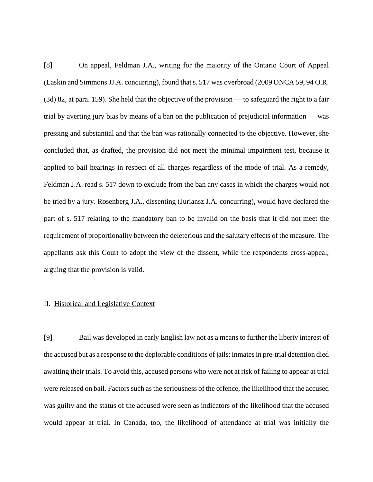[8] On appeal, Feldman J.A., writing for the majority of the Ontario Court of Appeal (Laskin and Simmons JJ.A. concurring), found that s. 517 was overbroad (2009 ONCA 59, 94 O.R. (3d) 82, at para. 159). She held that the objective of the provision — to safeguard the right to a fair trial by averting jury bias by means of a ban on the publication of prejudicial information — was pressing and substantial and that the ban was rationally connected to the objective. However, she concluded that, as drafted, the provision did not meet the minimal impairment test, because it applied to bail hearings in respect of all charges regardless of the mode of trial. As a remedy, Feldman J.A. read s. 517 down to exclude from the ban any cases in which the charges would not be tried by a jury. Rosenberg J.A., dissenting (Juriansz J.A. concurring), would have declared the part of s. 517 relating to the mandatory ban to be invalid on the basis that it did not meet the requirement of proportionality between the deleterious and the salutary effects of the measure. The appellants ask this Court to adopt the view of the dissent, while the respondents cross-appeal, arguing that the provision is valid.

#### II. Historical and Legislative Context

[9] Bail was developed in early English law not as a means to further the liberty interest of the accused but as a response to the deplorable conditions of jails: inmates in pre-trial detention died awaiting their trials. To avoid this, accused persons who were not at risk of failing to appear at trial were released on bail. Factors such as the seriousness of the offence, the likelihood that the accused was guilty and the status of the accused were seen as indicators of the likelihood that the accused would appear at trial. In Canada, too, the likelihood of attendance at trial was initially the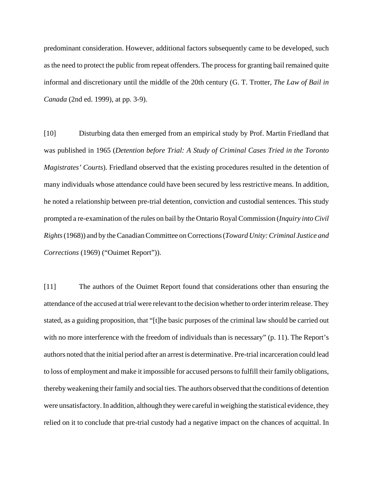predominant consideration. However, additional factors subsequently came to be developed, such as the need to protect the public from repeat offenders. The process for granting bail remained quite informal and discretionary until the middle of the 20th century (G. T. Trotter, *The Law of Bail in Canada* (2nd ed. 1999), at pp. 3-9).

[10] Disturbing data then emerged from an empirical study by Prof. Martin Friedland that was published in 1965 (*Detention before Trial: A Study of Criminal Cases Tried in the Toronto Magistrates' Courts*). Friedland observed that the existing procedures resulted in the detention of many individuals whose attendance could have been secured by less restrictive means. In addition, he noted a relationship between pre-trial detention, conviction and custodial sentences. This study prompted a re-examination of the rules on bail by the Ontario Royal Commission (*Inquiry into Civil Rights* (1968)) and by the Canadian Committee on Corrections (*Toward Unity: Criminal Justice and Corrections* (1969) ("Ouimet Report")).

[11] The authors of the Ouimet Report found that considerations other than ensuring the attendance of the accused at trial were relevant to the decision whether to order interim release. They stated, as a guiding proposition, that "[t]he basic purposes of the criminal law should be carried out with no more interference with the freedom of individuals than is necessary" (p. 11). The Report's authors noted that the initial period after an arrest is determinative. Pre-trial incarceration could lead to loss of employment and make it impossible for accused persons to fulfill their family obligations, thereby weakening their family and social ties. The authors observed that the conditions of detention were unsatisfactory. In addition, although they were careful in weighing the statistical evidence, they relied on it to conclude that pre-trial custody had a negative impact on the chances of acquittal. In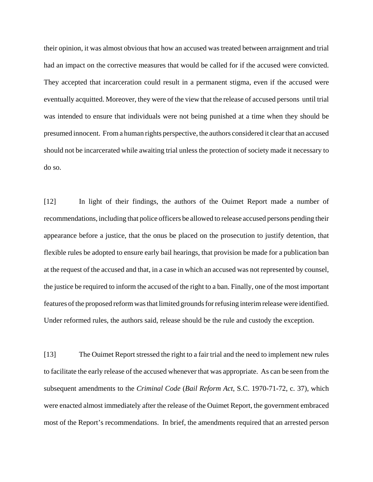their opinion, it was almost obvious that how an accused was treated between arraignment and trial had an impact on the corrective measures that would be called for if the accused were convicted. They accepted that incarceration could result in a permanent stigma, even if the accused were eventually acquitted. Moreover, they were of the view that the release of accused persons until trial was intended to ensure that individuals were not being punished at a time when they should be presumed innocent. From a human rights perspective, the authors considered it clear that an accused should not be incarcerated while awaiting trial unless the protection of society made it necessary to do so.

[12] In light of their findings, the authors of the Ouimet Report made a number of recommendations, including that police officers be allowed to release accused persons pending their appearance before a justice, that the onus be placed on the prosecution to justify detention, that flexible rules be adopted to ensure early bail hearings, that provision be made for a publication ban at the request of the accused and that, in a case in which an accused was not represented by counsel, the justice be required to inform the accused of the right to a ban. Finally, one of the most important features of the proposed reform was that limited grounds for refusing interim release were identified. Under reformed rules, the authors said, release should be the rule and custody the exception.

[13] The Ouimet Report stressed the right to a fair trial and the need to implement new rules to facilitate the early release of the accused whenever that was appropriate. As can be seen from the subsequent amendments to the *Criminal Code* (*Bail Reform Act*, S.C. 1970-71-72, c. 37), which were enacted almost immediately after the release of the Ouimet Report, the government embraced most of the Report's recommendations. In brief, the amendments required that an arrested person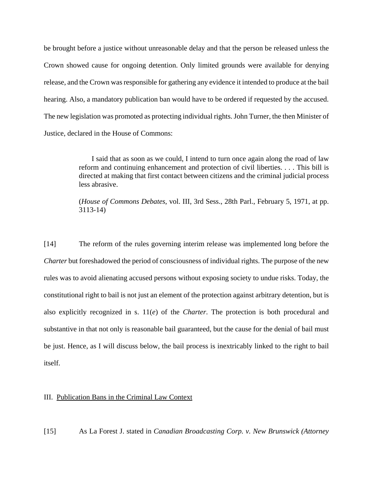be brought before a justice without unreasonable delay and that the person be released unless the Crown showed cause for ongoing detention. Only limited grounds were available for denying release, and the Crown was responsible for gathering any evidence it intended to produce at the bail hearing. Also, a mandatory publication ban would have to be ordered if requested by the accused. The new legislation was promoted as protecting individual rights. John Turner, the then Minister of Justice, declared in the House of Commons:

> I said that as soon as we could, I intend to turn once again along the road of law reform and continuing enhancement and protection of civil liberties. . . . This bill is directed at making that first contact between citizens and the criminal judicial process less abrasive.

> (*House of Commons Debates*, vol. III, 3rd Sess., 28th Parl., February 5, 1971, at pp. 3113-14)

[14] The reform of the rules governing interim release was implemented long before the *Charter* but foreshadowed the period of consciousness of individual rights. The purpose of the new rules was to avoid alienating accused persons without exposing society to undue risks. Today, the constitutional right to bail is not just an element of the protection against arbitrary detention, but is also explicitly recognized in s. 11(*e*) of the *Charter*. The protection is both procedural and substantive in that not only is reasonable bail guaranteed, but the cause for the denial of bail must be just. Hence, as I will discuss below, the bail process is inextricably linked to the right to bail itself.

III. Publication Bans in the Criminal Law Context

[15] As La Forest J. stated in *Canadian Broadcasting Corp. v. New Brunswick (Attorney*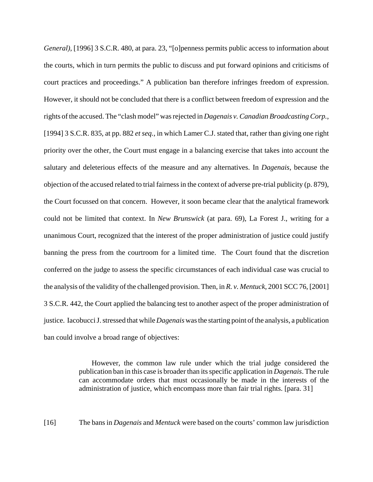*General)*, [1996] 3 S.C.R. 480, at para. 23, "[o]penness permits public access to information about the courts, which in turn permits the public to discuss and put forward opinions and criticisms of court practices and proceedings." A publication ban therefore infringes freedom of expression. However, it should not be concluded that there is a conflict between freedom of expression and the rights of the accused. The "clash model" was rejected in *Dagenais v. Canadian Broadcasting Corp.*, [1994] 3 S.C.R. 835, at pp. 882 *et seq.*, in which Lamer C.J. stated that, rather than giving one right priority over the other, the Court must engage in a balancing exercise that takes into account the salutary and deleterious effects of the measure and any alternatives. In *Dagenais*, because the objection of the accused related to trial fairness in the context of adverse pre-trial publicity (p. 879), the Court focussed on that concern. However, it soon became clear that the analytical framework could not be limited that context. In *New Brunswick* (at para. 69), La Forest J., writing for a unanimous Court, recognized that the interest of the proper administration of justice could justify banning the press from the courtroom for a limited time. The Court found that the discretion conferred on the judge to assess the specific circumstances of each individual case was crucial to the analysis of the validity of the challenged provision. Then, in *R. v. Mentuck*, 2001 SCC 76, [2001] 3 S.C.R. 442, the Court applied the balancing test to another aspect of the proper administration of justice. Iacobucci J. stressed that while *Dagenais* was the starting point of the analysis, a publication ban could involve a broad range of objectives:

> However, the common law rule under which the trial judge considered the publication ban in this case is broader than its specific application in *Dagenais*. The rule can accommodate orders that must occasionally be made in the interests of the administration of justice, which encompass more than fair trial rights. [para. 31]

[16] The bans in *Dagenais* and *Mentuck* were based on the courts' common law jurisdiction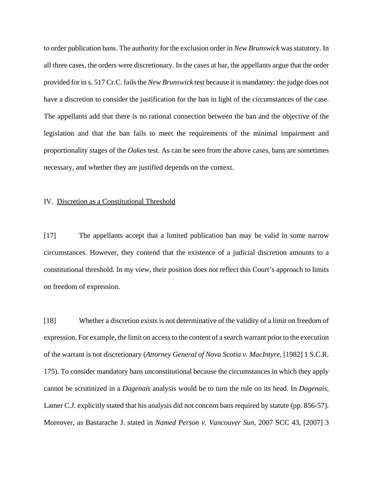to order publication bans. The authority for the exclusion order in *New Brunswick* was statutory. In all three cases, the orders were discretionary. In the cases at bar, the appellants argue that the order provided for in s. 517 Cr.C. fails the *New Brunswick* test because it is mandatory: the judge does not have a discretion to consider the justification for the ban in light of the circumstances of the case. The appellants add that there is no rational connection between the ban and the objective of the legislation and that the ban fails to meet the requirements of the minimal impairment and proportionality stages of the *Oakes* test. As can be seen from the above cases, bans are sometimes necessary, and whether they are justified depends on the context.

#### IV. Discretion as a Constitutional Threshold

[17] The appellants accept that a limited publication ban may be valid in some narrow circumstances. However, they contend that the existence of a judicial discretion amounts to a constitutional threshold. In my view, their position does not reflect this Court's approach to limits on freedom of expression.

[18] Whether a discretion exists is not determinative of the validity of a limit on freedom of expression. For example, the limit on access to the content of a search warrant prior to the execution of the warrant is not discretionary (*Attorney General of Nova Scotia v. MacIntyre*, [1982] 1 S.C.R. 175). To consider mandatory bans unconstitutional because the circumstances in which they apply cannot be scrutinized in a *Dagenais* analysis would be to turn the rule on its head. In *Dagenais*, Lamer C.J. explicitly stated that his analysis did not concern bans required by statute (pp. 856-57). Moreover, as Bastarache J. stated in *Named Person v. Vancouver Sun*, 2007 SCC 43, [2007] 3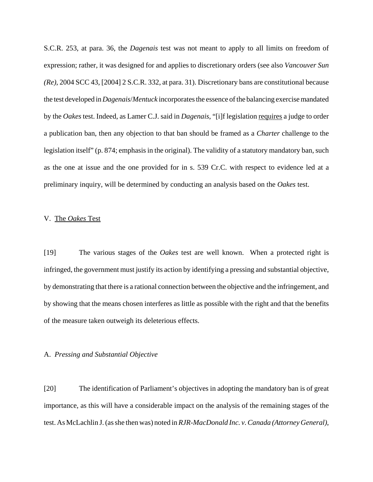S.C.R. 253, at para. 36, the *Dagenais* test was not meant to apply to all limits on freedom of expression; rather, it was designed for and applies to discretionary orders (see also *Vancouver Sun (Re)*, 2004 SCC 43, [2004] 2 S.C.R. 332, at para. 31). Discretionary bans are constitutional because the test developed in *Dagenais*/*Mentuck* incorporates the essence of the balancing exercise mandated by the *Oakes* test. Indeed, as Lamer C.J. said in *Dagenais*, "[i]f legislation requires a judge to order a publication ban, then any objection to that ban should be framed as a *Charter* challenge to the legislation itself" (p. 874; emphasis in the original). The validity of a statutory mandatory ban, such as the one at issue and the one provided for in s. 539 Cr.C. with respect to evidence led at a preliminary inquiry, will be determined by conducting an analysis based on the *Oakes* test.

#### V. The *Oakes* Test

[19] The various stages of the *Oakes* test are well known. When a protected right is infringed, the government must justify its action by identifying a pressing and substantial objective, by demonstrating that there is a rational connection between the objective and the infringement, and by showing that the means chosen interferes as little as possible with the right and that the benefits of the measure taken outweigh its deleterious effects.

#### A. *Pressing and Substantial Objective*

[20] The identification of Parliament's objectives in adopting the mandatory ban is of great importance, as this will have a considerable impact on the analysis of the remaining stages of the test. As McLachlin J. (as she then was) noted in *RJR-MacDonald Inc. v. Canada (Attorney General)*,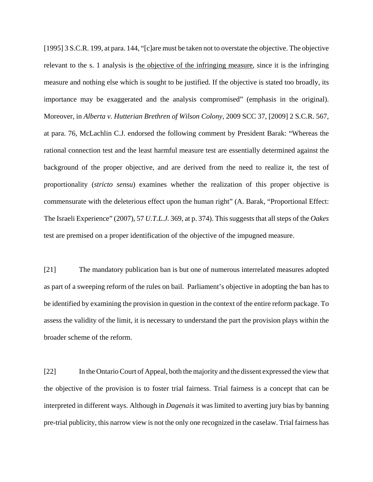[1995] 3 S.C.R. 199, at para. 144, "[c]are must be taken not to overstate the objective. The objective relevant to the s. 1 analysis is the objective of the infringing measure, since it is the infringing measure and nothing else which is sought to be justified. If the objective is stated too broadly, its importance may be exaggerated and the analysis compromised" (emphasis in the original). Moreover, in *Alberta v. Hutterian Brethren of Wilson Colony*, 2009 SCC 37, [2009] 2 S.C.R. 567, at para. 76, McLachlin C.J. endorsed the following comment by President Barak: "Whereas the rational connection test and the least harmful measure test are essentially determined against the background of the proper objective, and are derived from the need to realize it, the test of proportionality (*stricto sensu*) examines whether the realization of this proper objective is commensurate with the deleterious effect upon the human right" (A. Barak, "Proportional Effect: The Israeli Experience" (2007), 57 *U.T.L.J.* 369, at p. 374). This suggests that all steps of the *Oakes* test are premised on a proper identification of the objective of the impugned measure.

[21] The mandatory publication ban is but one of numerous interrelated measures adopted as part of a sweeping reform of the rules on bail. Parliament's objective in adopting the ban has to be identified by examining the provision in question in the context of the entire reform package. To assess the validity of the limit, it is necessary to understand the part the provision plays within the broader scheme of the reform.

[22] In the Ontario Court of Appeal, both the majority and the dissent expressed the view that the objective of the provision is to foster trial fairness. Trial fairness is a concept that can be interpreted in different ways. Although in *Dagenais* it was limited to averting jury bias by banning pre-trial publicity, this narrow view is not the only one recognized in the caselaw. Trial fairness has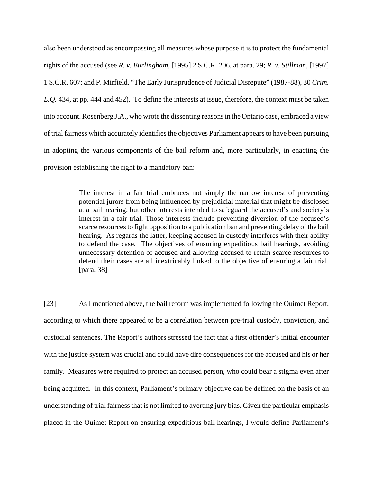also been understood as encompassing all measures whose purpose it is to protect the fundamental rights of the accused (see *R. v. Burlingham*, [1995] 2 S.C.R. 206, at para. 29; *R. v. Stillman*, [1997] 1 S.C.R. 607; and P. Mirfield, "The Early Jurisprudence of Judicial Disrepute" (1987-88), 30 *Crim. L.Q.* 434, at pp. 444 and 452). To define the interests at issue, therefore, the context must be taken into account. Rosenberg J.A., who wrote the dissenting reasons in the Ontario case, embraced a view of trial fairness which accurately identifies the objectives Parliament appears to have been pursuing in adopting the various components of the bail reform and, more particularly, in enacting the provision establishing the right to a mandatory ban:

> The interest in a fair trial embraces not simply the narrow interest of preventing potential jurors from being influenced by prejudicial material that might be disclosed at a bail hearing, but other interests intended to safeguard the accused's and society's interest in a fair trial. Those interests include preventing diversion of the accused's scarce resources to fight opposition to a publication ban and preventing delay of the bail hearing. As regards the latter, keeping accused in custody interferes with their ability to defend the case. The objectives of ensuring expeditious bail hearings, avoiding unnecessary detention of accused and allowing accused to retain scarce resources to defend their cases are all inextricably linked to the objective of ensuring a fair trial. [para. 38]

[23] As I mentioned above, the bail reform was implemented following the Ouimet Report, according to which there appeared to be a correlation between pre-trial custody, conviction, and custodial sentences. The Report's authors stressed the fact that a first offender's initial encounter with the justice system was crucial and could have dire consequences for the accused and his or her family. Measures were required to protect an accused person, who could bear a stigma even after being acquitted. In this context, Parliament's primary objective can be defined on the basis of an understanding of trial fairness that is not limited to averting jury bias. Given the particular emphasis placed in the Ouimet Report on ensuring expeditious bail hearings, I would define Parliament's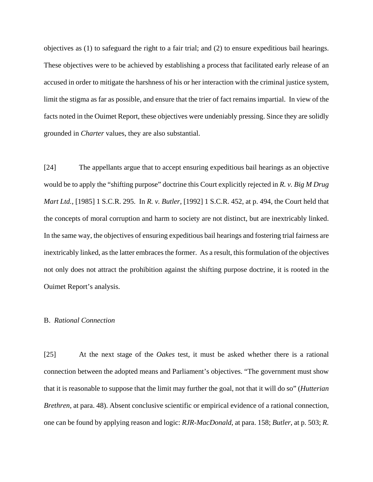objectives as (1) to safeguard the right to a fair trial; and (2) to ensure expeditious bail hearings. These objectives were to be achieved by establishing a process that facilitated early release of an accused in order to mitigate the harshness of his or her interaction with the criminal justice system, limit the stigma as far as possible, and ensure that the trier of fact remains impartial. In view of the facts noted in the Ouimet Report, these objectives were undeniably pressing. Since they are solidly grounded in *Charter* values, they are also substantial.

[24] The appellants argue that to accept ensuring expeditious bail hearings as an objective would be to apply the "shifting purpose" doctrine this Court explicitly rejected in *R. v. Big M Drug Mart Ltd.*, [1985] 1 S.C.R. 295. In *R. v. Butler*, [1992] 1 S.C.R. 452, at p. 494, the Court held that the concepts of moral corruption and harm to society are not distinct, but are inextricably linked. In the same way, the objectives of ensuring expeditious bail hearings and fostering trial fairness are inextricably linked, as the latter embraces the former. As a result, this formulation of the objectives not only does not attract the prohibition against the shifting purpose doctrine, it is rooted in the Ouimet Report's analysis.

#### B. *Rational Connection*

[25] At the next stage of the *Oakes* test, it must be asked whether there is a rational connection between the adopted means and Parliament's objectives. "The government must show that it is reasonable to suppose that the limit may further the goal, not that it will do so" (*Hutterian Brethren*, at para. 48). Absent conclusive scientific or empirical evidence of a rational connection, one can be found by applying reason and logic: *RJR-MacDonald*, at para. 158; *Butler*, at p. 503; *R.*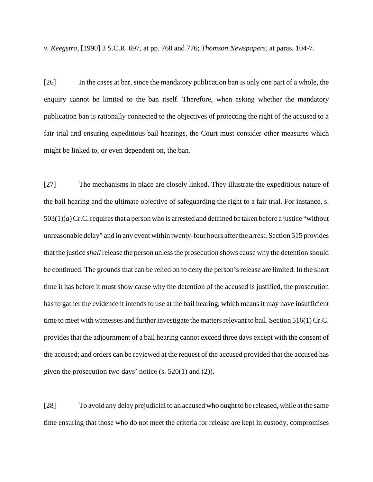*v. Keegstra*, [1990] 3 S.C.R. 697, at pp. 768 and 776; *Thomson Newspapers*, at paras. 104-7.

[26] In the cases at bar, since the mandatory publication ban is only one part of a whole, the enquiry cannot be limited to the ban itself. Therefore, when asking whether the mandatory publication ban is rationally connected to the objectives of protecting the right of the accused to a fair trial and ensuring expeditious bail hearings, the Court must consider other measures which might be linked to, or even dependent on, the ban.

[27] The mechanisms in place are closely linked. They illustrate the expeditious nature of the bail hearing and the ultimate objective of safeguarding the right to a fair trial. For instance, s. 503(1)(*a*) Cr.C. requires that a person who is arrested and detained be taken before a justice "without unreasonable delay" and in any event within twenty-four hours after the arrest. Section 515 provides that the justice *shall* release the person unless the prosecution shows cause why the detention should be continued. The grounds that can be relied on to deny the person's release are limited. In the short time it has before it must show cause why the detention of the accused is justified, the prosecution has to gather the evidence it intends to use at the bail hearing, which means it may have insufficient time to meet with witnesses and further investigate the matters relevant to bail. Section 516(1) Cr.C. provides that the adjournment of a bail hearing cannot exceed three days except with the consent of the accused; and orders can be reviewed at the request of the accused provided that the accused has given the prosecution two days' notice (s. 520(1) and (2)).

[28] To avoid any delay prejudicial to an accused who ought to be released, while at the same time ensuring that those who do not meet the criteria for release are kept in custody, compromises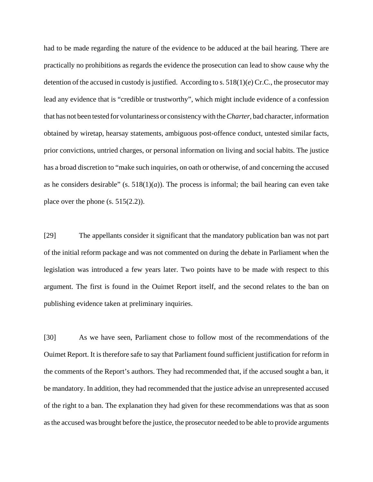had to be made regarding the nature of the evidence to be adduced at the bail hearing. There are practically no prohibitions as regards the evidence the prosecution can lead to show cause why the detention of the accused in custody is justified. According to s. 518(1)(*e*) Cr.C., the prosecutor may lead any evidence that is "credible or trustworthy", which might include evidence of a confession that has not been tested for voluntariness or consistency with the *Charter*, bad character, information obtained by wiretap, hearsay statements, ambiguous post-offence conduct, untested similar facts, prior convictions, untried charges, or personal information on living and social habits. The justice has a broad discretion to "make such inquiries, on oath or otherwise, of and concerning the accused as he considers desirable" (s.  $518(1)(a)$ ). The process is informal; the bail hearing can even take place over the phone  $(s. 515(2.2))$ .

[29] The appellants consider it significant that the mandatory publication ban was not part of the initial reform package and was not commented on during the debate in Parliament when the legislation was introduced a few years later. Two points have to be made with respect to this argument. The first is found in the Ouimet Report itself, and the second relates to the ban on publishing evidence taken at preliminary inquiries.

[30] As we have seen, Parliament chose to follow most of the recommendations of the Ouimet Report. It is therefore safe to say that Parliament found sufficient justification for reform in the comments of the Report's authors. They had recommended that, if the accused sought a ban, it be mandatory. In addition, they had recommended that the justice advise an unrepresented accused of the right to a ban. The explanation they had given for these recommendations was that as soon as the accused was brought before the justice, the prosecutor needed to be able to provide arguments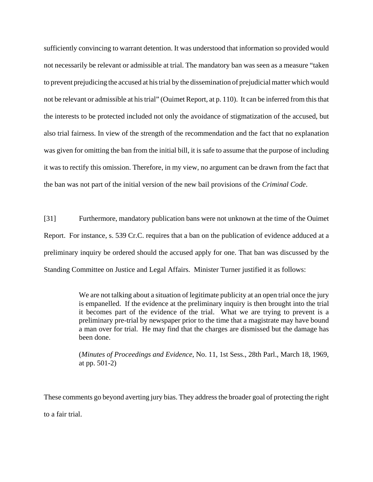sufficiently convincing to warrant detention. It was understood that information so provided would not necessarily be relevant or admissible at trial. The mandatory ban was seen as a measure "taken to prevent prejudicing the accused at his trial by the dissemination of prejudicial matter which would not be relevant or admissible at his trial" (Ouimet Report, at p. 110). It can be inferred from this that the interests to be protected included not only the avoidance of stigmatization of the accused, but also trial fairness. In view of the strength of the recommendation and the fact that no explanation was given for omitting the ban from the initial bill, it is safe to assume that the purpose of including it was to rectify this omission. Therefore, in my view, no argument can be drawn from the fact that the ban was not part of the initial version of the new bail provisions of the *Criminal Code*.

[31] Furthermore, mandatory publication bans were not unknown at the time of the Ouimet Report. For instance, s. 539 Cr.C. requires that a ban on the publication of evidence adduced at a preliminary inquiry be ordered should the accused apply for one. That ban was discussed by the Standing Committee on Justice and Legal Affairs. Minister Turner justified it as follows:

> We are not talking about a situation of legitimate publicity at an open trial once the jury is empanelled. If the evidence at the preliminary inquiry is then brought into the trial it becomes part of the evidence of the trial. What we are trying to prevent is a preliminary pre-trial by newspaper prior to the time that a magistrate may have bound a man over for trial. He may find that the charges are dismissed but the damage has been done.

> (*Minutes of Proceedings and Evidence*, No. 11, 1st Sess., 28th Parl., March 18, 1969, at pp. 501-2)

These comments go beyond averting jury bias. They address the broader goal of protecting the right

to a fair trial.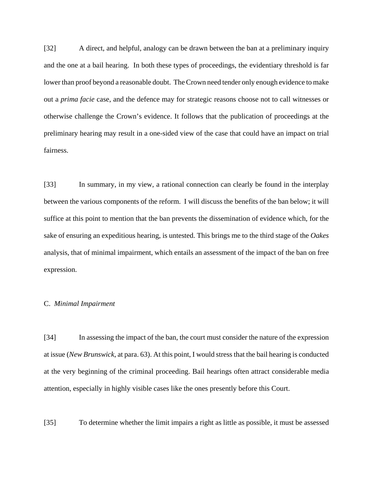[32] A direct, and helpful, analogy can be drawn between the ban at a preliminary inquiry and the one at a bail hearing. In both these types of proceedings, the evidentiary threshold is far lower than proof beyond a reasonable doubt. The Crown need tender only enough evidence to make out a *prima facie* case, and the defence may for strategic reasons choose not to call witnesses or otherwise challenge the Crown's evidence. It follows that the publication of proceedings at the preliminary hearing may result in a one-sided view of the case that could have an impact on trial fairness.

[33] In summary, in my view, a rational connection can clearly be found in the interplay between the various components of the reform. I will discuss the benefits of the ban below; it will suffice at this point to mention that the ban prevents the dissemination of evidence which, for the sake of ensuring an expeditious hearing, is untested. This brings me to the third stage of the *Oakes* analysis, that of minimal impairment, which entails an assessment of the impact of the ban on free expression.

#### C. *Minimal Impairment*

[34] In assessing the impact of the ban, the court must consider the nature of the expression at issue (*New Brunswick*, at para. 63). At this point, I would stress that the bail hearing is conducted at the very beginning of the criminal proceeding. Bail hearings often attract considerable media attention, especially in highly visible cases like the ones presently before this Court.

[35] To determine whether the limit impairs a right as little as possible, it must be assessed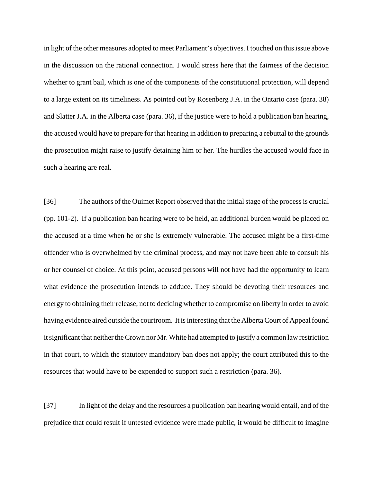in light of the other measures adopted to meet Parliament's objectives. I touched on this issue above in the discussion on the rational connection. I would stress here that the fairness of the decision whether to grant bail, which is one of the components of the constitutional protection, will depend to a large extent on its timeliness. As pointed out by Rosenberg J.A. in the Ontario case (para. 38) and Slatter J.A. in the Alberta case (para. 36), if the justice were to hold a publication ban hearing, the accused would have to prepare for that hearing in addition to preparing a rebuttal to the grounds the prosecution might raise to justify detaining him or her. The hurdles the accused would face in such a hearing are real.

[36] The authors of the Ouimet Report observed that the initial stage of the process is crucial (pp. 101-2). If a publication ban hearing were to be held, an additional burden would be placed on the accused at a time when he or she is extremely vulnerable. The accused might be a first-time offender who is overwhelmed by the criminal process, and may not have been able to consult his or her counsel of choice. At this point, accused persons will not have had the opportunity to learn what evidence the prosecution intends to adduce. They should be devoting their resources and energy to obtaining their release, not to deciding whether to compromise on liberty in order to avoid having evidence aired outside the courtroom. It is interesting that the Alberta Court of Appeal found it significant that neither the Crown nor Mr. White had attempted to justify a common law restriction in that court, to which the statutory mandatory ban does not apply; the court attributed this to the resources that would have to be expended to support such a restriction (para. 36).

[37] In light of the delay and the resources a publication ban hearing would entail, and of the prejudice that could result if untested evidence were made public, it would be difficult to imagine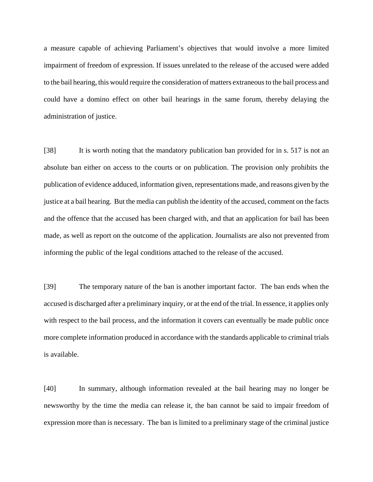a measure capable of achieving Parliament's objectives that would involve a more limited impairment of freedom of expression. If issues unrelated to the release of the accused were added to the bail hearing, this would require the consideration of matters extraneous to the bail process and could have a domino effect on other bail hearings in the same forum, thereby delaying the administration of justice.

[38] It is worth noting that the mandatory publication ban provided for in s. 517 is not an absolute ban either on access to the courts or on publication. The provision only prohibits the publication of evidence adduced, information given, representations made, and reasons given by the justice at a bail hearing. But the media can publish the identity of the accused, comment on the facts and the offence that the accused has been charged with, and that an application for bail has been made, as well as report on the outcome of the application. Journalists are also not prevented from informing the public of the legal conditions attached to the release of the accused.

[39] The temporary nature of the ban is another important factor. The ban ends when the accused is discharged after a preliminary inquiry, or at the end of the trial. In essence, it applies only with respect to the bail process, and the information it covers can eventually be made public once more complete information produced in accordance with the standards applicable to criminal trials is available.

[40] In summary, although information revealed at the bail hearing may no longer be newsworthy by the time the media can release it, the ban cannot be said to impair freedom of expression more than is necessary. The ban is limited to a preliminary stage of the criminal justice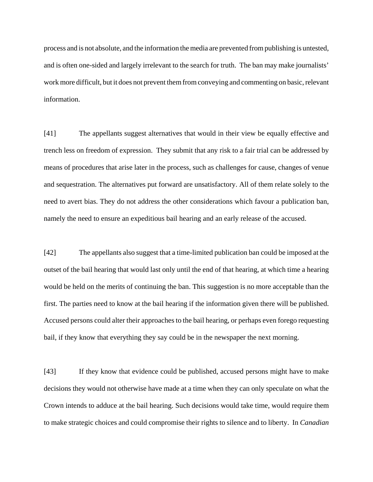process and is not absolute, and the information the media are prevented from publishing is untested, and is often one-sided and largely irrelevant to the search for truth. The ban may make journalists' work more difficult, but it does not prevent them from conveying and commenting on basic, relevant information.

[41] The appellants suggest alternatives that would in their view be equally effective and trench less on freedom of expression. They submit that any risk to a fair trial can be addressed by means of procedures that arise later in the process, such as challenges for cause, changes of venue and sequestration. The alternatives put forward are unsatisfactory. All of them relate solely to the need to avert bias. They do not address the other considerations which favour a publication ban, namely the need to ensure an expeditious bail hearing and an early release of the accused.

[42] The appellants also suggest that a time-limited publication ban could be imposed at the outset of the bail hearing that would last only until the end of that hearing, at which time a hearing would be held on the merits of continuing the ban. This suggestion is no more acceptable than the first. The parties need to know at the bail hearing if the information given there will be published. Accused persons could alter their approaches to the bail hearing, or perhaps even forego requesting bail, if they know that everything they say could be in the newspaper the next morning.

[43] If they know that evidence could be published, accused persons might have to make decisions they would not otherwise have made at a time when they can only speculate on what the Crown intends to adduce at the bail hearing. Such decisions would take time, would require them to make strategic choices and could compromise their rights to silence and to liberty. In *Canadian*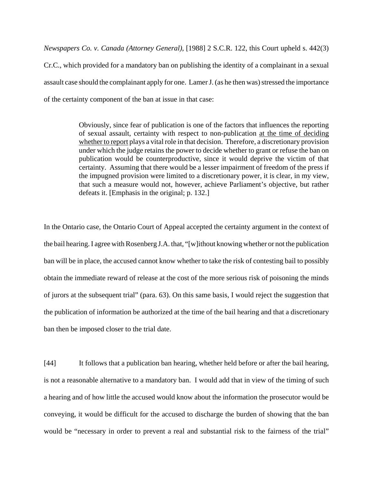*Newspapers Co. v. Canada (Attorney General)*, [1988] 2 S.C.R. 122, this Court upheld s. 442(3) Cr.C., which provided for a mandatory ban on publishing the identity of a complainant in a sexual assault case should the complainant apply for one. Lamer J. (as he then was) stressed the importance of the certainty component of the ban at issue in that case:

> Obviously, since fear of publication is one of the factors that influences the reporting of sexual assault, certainty with respect to non-publication at the time of deciding whether to report plays a vital role in that decision. Therefore, a discretionary provision under which the judge retains the power to decide whether to grant or refuse the ban on publication would be counterproductive, since it would deprive the victim of that certainty. Assuming that there would be a lesser impairment of freedom of the press if the impugned provision were limited to a discretionary power, it is clear, in my view, that such a measure would not, however, achieve Parliament's objective, but rather defeats it. [Emphasis in the original; p. 132.]

In the Ontario case, the Ontario Court of Appeal accepted the certainty argument in the context of the bail hearing. I agree with Rosenberg J.A. that, "[w]ithout knowing whether or not the publication ban will be in place, the accused cannot know whether to take the risk of contesting bail to possibly obtain the immediate reward of release at the cost of the more serious risk of poisoning the minds of jurors at the subsequent trial" (para. 63). On this same basis, I would reject the suggestion that the publication of information be authorized at the time of the bail hearing and that a discretionary ban then be imposed closer to the trial date.

[44] It follows that a publication ban hearing, whether held before or after the bail hearing, is not a reasonable alternative to a mandatory ban. I would add that in view of the timing of such a hearing and of how little the accused would know about the information the prosecutor would be conveying, it would be difficult for the accused to discharge the burden of showing that the ban would be "necessary in order to prevent a real and substantial risk to the fairness of the trial"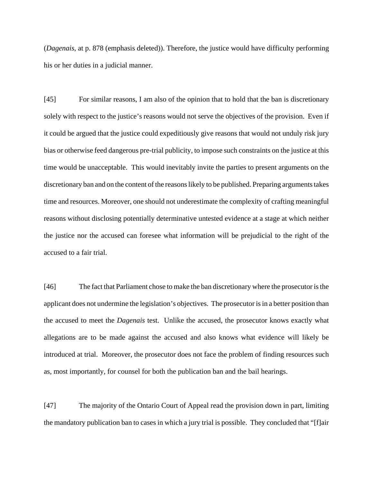(*Dagenais*, at p. 878 (emphasis deleted)). Therefore, the justice would have difficulty performing his or her duties in a judicial manner.

[45] For similar reasons, I am also of the opinion that to hold that the ban is discretionary solely with respect to the justice's reasons would not serve the objectives of the provision. Even if it could be argued that the justice could expeditiously give reasons that would not unduly risk jury bias or otherwise feed dangerous pre-trial publicity, to impose such constraints on the justice at this time would be unacceptable. This would inevitably invite the parties to present arguments on the discretionary ban and on the content of the reasons likely to be published. Preparing arguments takes time and resources. Moreover, one should not underestimate the complexity of crafting meaningful reasons without disclosing potentially determinative untested evidence at a stage at which neither the justice nor the accused can foresee what information will be prejudicial to the right of the accused to a fair trial.

[46] The fact that Parliament chose to make the ban discretionary where the prosecutor is the applicant does not undermine the legislation's objectives. The prosecutor is in a better position than the accused to meet the *Dagenais* test. Unlike the accused, the prosecutor knows exactly what allegations are to be made against the accused and also knows what evidence will likely be introduced at trial. Moreover, the prosecutor does not face the problem of finding resources such as, most importantly, for counsel for both the publication ban and the bail hearings.

[47] The majority of the Ontario Court of Appeal read the provision down in part, limiting the mandatory publication ban to cases in which a jury trial is possible. They concluded that "[f]air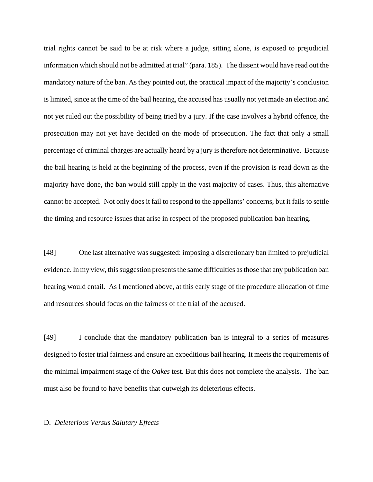trial rights cannot be said to be at risk where a judge, sitting alone, is exposed to prejudicial information which should not be admitted at trial" (para. 185). The dissent would have read out the mandatory nature of the ban. As they pointed out, the practical impact of the majority's conclusion is limited, since at the time of the bail hearing, the accused has usually not yet made an election and not yet ruled out the possibility of being tried by a jury. If the case involves a hybrid offence, the prosecution may not yet have decided on the mode of prosecution. The fact that only a small percentage of criminal charges are actually heard by a jury is therefore not determinative. Because the bail hearing is held at the beginning of the process, even if the provision is read down as the majority have done, the ban would still apply in the vast majority of cases. Thus, this alternative cannot be accepted. Not only does it fail to respond to the appellants' concerns, but it fails to settle the timing and resource issues that arise in respect of the proposed publication ban hearing.

[48] One last alternative was suggested: imposing a discretionary ban limited to prejudicial evidence. In my view, this suggestion presents the same difficulties as those that any publication ban hearing would entail. As I mentioned above, at this early stage of the procedure allocation of time and resources should focus on the fairness of the trial of the accused.

[49] I conclude that the mandatory publication ban is integral to a series of measures designed to foster trial fairness and ensure an expeditious bail hearing. It meets the requirements of the minimal impairment stage of the *Oakes* test. But this does not complete the analysis. The ban must also be found to have benefits that outweigh its deleterious effects.

#### D. *Deleterious Versus Salutary Effects*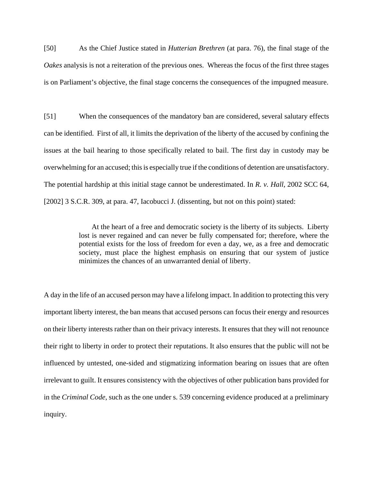[50] As the Chief Justice stated in *Hutterian Brethren* (at para. 76), the final stage of the *Oakes* analysis is not a reiteration of the previous ones. Whereas the focus of the first three stages is on Parliament's objective, the final stage concerns the consequences of the impugned measure.

[51] When the consequences of the mandatory ban are considered, several salutary effects can be identified. First of all, it limits the deprivation of the liberty of the accused by confining the issues at the bail hearing to those specifically related to bail. The first day in custody may be overwhelming for an accused; this is especially true if the conditions of detention are unsatisfactory. The potential hardship at this initial stage cannot be underestimated. In *R. v. Hall*, 2002 SCC 64, [2002] 3 S.C.R. 309, at para. 47, Iacobucci J. (dissenting, but not on this point) stated:

> At the heart of a free and democratic society is the liberty of its subjects. Liberty lost is never regained and can never be fully compensated for; therefore, where the potential exists for the loss of freedom for even a day, we, as a free and democratic society, must place the highest emphasis on ensuring that our system of justice minimizes the chances of an unwarranted denial of liberty.

A day in the life of an accused person may have a lifelong impact. In addition to protecting this very important liberty interest, the ban means that accused persons can focus their energy and resources on their liberty interests rather than on their privacy interests. It ensures that they will not renounce their right to liberty in order to protect their reputations. It also ensures that the public will not be influenced by untested, one-sided and stigmatizing information bearing on issues that are often irrelevant to guilt. It ensures consistency with the objectives of other publication bans provided for in the *Criminal Code*, such as the one under s. 539 concerning evidence produced at a preliminary inquiry.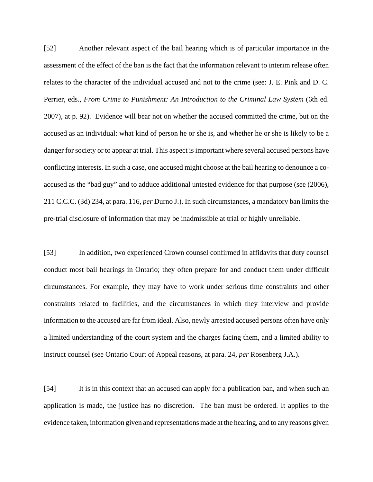[52] Another relevant aspect of the bail hearing which is of particular importance in the assessment of the effect of the ban is the fact that the information relevant to interim release often relates to the character of the individual accused and not to the crime (see: J. E. Pink and D. C. Perrier, eds., *From Crime to Punishment: An Introduction to the Criminal Law System* (6th ed. 2007), at p. 92). Evidence will bear not on whether the accused committed the crime, but on the accused as an individual: what kind of person he or she is, and whether he or she is likely to be a danger for society or to appear at trial. This aspect is important where several accused persons have conflicting interests. In such a case, one accused might choose at the bail hearing to denounce a coaccused as the "bad guy" and to adduce additional untested evidence for that purpose (see (2006), 211 C.C.C. (3d) 234, at para. 116, *per* Durno J.). In such circumstances, a mandatory ban limits the pre-trial disclosure of information that may be inadmissible at trial or highly unreliable.

[53] In addition, two experienced Crown counsel confirmed in affidavits that duty counsel conduct most bail hearings in Ontario; they often prepare for and conduct them under difficult circumstances. For example, they may have to work under serious time constraints and other constraints related to facilities, and the circumstances in which they interview and provide information to the accused are far from ideal. Also, newly arrested accused persons often have only a limited understanding of the court system and the charges facing them, and a limited ability to instruct counsel (see Ontario Court of Appeal reasons, at para. 24, *per* Rosenberg J.A.).

[54] It is in this context that an accused can apply for a publication ban, and when such an application is made, the justice has no discretion. The ban must be ordered. It applies to the evidence taken, information given and representations made at the hearing, and to any reasons given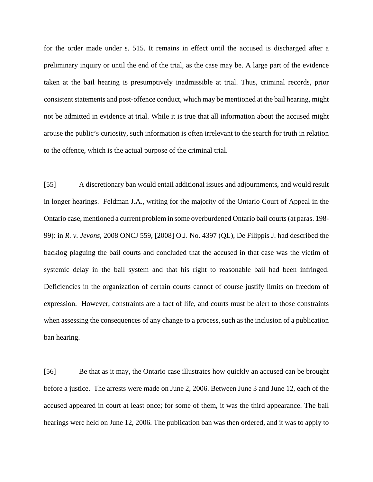for the order made under s. 515. It remains in effect until the accused is discharged after a preliminary inquiry or until the end of the trial, as the case may be. A large part of the evidence taken at the bail hearing is presumptively inadmissible at trial. Thus, criminal records, prior consistent statements and post-offence conduct, which may be mentioned at the bail hearing, might not be admitted in evidence at trial. While it is true that all information about the accused might arouse the public's curiosity, such information is often irrelevant to the search for truth in relation to the offence, which is the actual purpose of the criminal trial.

[55] A discretionary ban would entail additional issues and adjournments, and would result in longer hearings. Feldman J.A., writing for the majority of the Ontario Court of Appeal in the Ontario case, mentioned a current problem in some overburdened Ontario bail courts (at paras. 198- 99): in *R. v. Jevons*, 2008 ONCJ 559, [2008] O.J. No. 4397 (QL), De Filippis J. had described the backlog plaguing the bail courts and concluded that the accused in that case was the victim of systemic delay in the bail system and that his right to reasonable bail had been infringed. Deficiencies in the organization of certain courts cannot of course justify limits on freedom of expression. However, constraints are a fact of life, and courts must be alert to those constraints when assessing the consequences of any change to a process, such as the inclusion of a publication ban hearing.

[56] Be that as it may, the Ontario case illustrates how quickly an accused can be brought before a justice. The arrests were made on June 2, 2006. Between June 3 and June 12, each of the accused appeared in court at least once; for some of them, it was the third appearance. The bail hearings were held on June 12, 2006. The publication ban was then ordered, and it was to apply to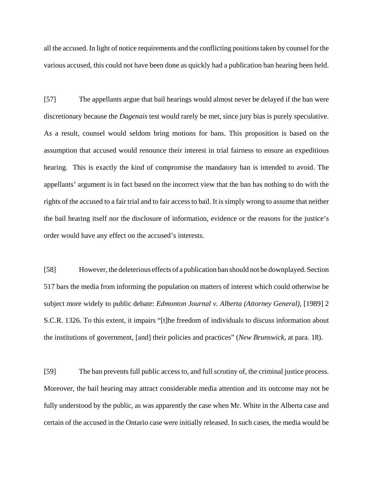all the accused. In light of notice requirements and the conflicting positions taken by counsel for the various accused, this could not have been done as quickly had a publication ban hearing been held.

[57] The appellants argue that bail hearings would almost never be delayed if the ban were discretionary because the *Dagenais* test would rarely be met, since jury bias is purely speculative. As a result, counsel would seldom bring motions for bans. This proposition is based on the assumption that accused would renounce their interest in trial fairness to ensure an expeditious hearing. This is exactly the kind of compromise the mandatory ban is intended to avoid. The appellants' argument is in fact based on the incorrect view that the ban has nothing to do with the rights of the accused to a fair trial and to fair access to bail. It is simply wrong to assume that neither the bail hearing itself nor the disclosure of information, evidence or the reasons for the justice's order would have any effect on the accused's interests.

[58] However, the deleterious effects of a publication ban should not be downplayed. Section 517 bars the media from informing the population on matters of interest which could otherwise be subject more widely to public debate: *Edmonton Journal v. Alberta (Attorney General)*, [1989] 2 S.C.R. 1326. To this extent, it impairs "[t]he freedom of individuals to discuss information about the institutions of government, [and] their policies and practices" (*New Brunswick*, at para. 18).

[59] The ban prevents full public access to, and full scrutiny of, the criminal justice process. Moreover, the bail hearing may attract considerable media attention and its outcome may not be fully understood by the public, as was apparently the case when Mr. White in the Alberta case and certain of the accused in the Ontario case were initially released. In such cases, the media would be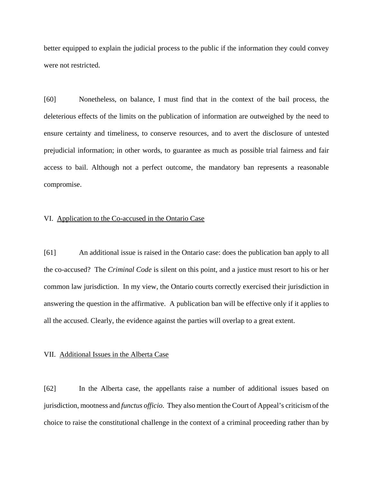better equipped to explain the judicial process to the public if the information they could convey were not restricted.

[60] Nonetheless, on balance, I must find that in the context of the bail process, the deleterious effects of the limits on the publication of information are outweighed by the need to ensure certainty and timeliness, to conserve resources, and to avert the disclosure of untested prejudicial information; in other words, to guarantee as much as possible trial fairness and fair access to bail. Although not a perfect outcome, the mandatory ban represents a reasonable compromise.

#### VI. Application to the Co-accused in the Ontario Case

[61] An additional issue is raised in the Ontario case: does the publication ban apply to all the co-accused? The *Criminal Code* is silent on this point, and a justice must resort to his or her common law jurisdiction. In my view, the Ontario courts correctly exercised their jurisdiction in answering the question in the affirmative. A publication ban will be effective only if it applies to all the accused. Clearly, the evidence against the parties will overlap to a great extent.

#### VII. Additional Issues in the Alberta Case

[62] In the Alberta case, the appellants raise a number of additional issues based on jurisdiction, mootness and *functus officio*. They also mention the Court of Appeal's criticism of the choice to raise the constitutional challenge in the context of a criminal proceeding rather than by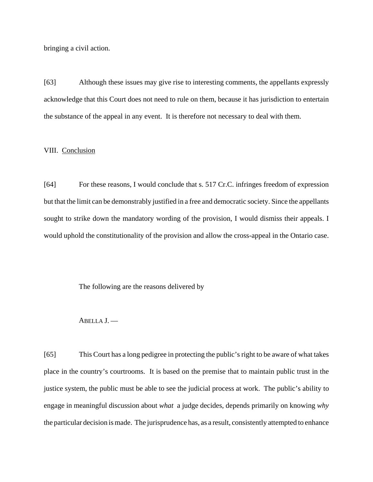bringing a civil action.

[63] Although these issues may give rise to interesting comments, the appellants expressly acknowledge that this Court does not need to rule on them, because it has jurisdiction to entertain the substance of the appeal in any event. It is therefore not necessary to deal with them.

## VIII. Conclusion

[64] For these reasons, I would conclude that s. 517 Cr.C. infringes freedom of expression but that the limit can be demonstrably justified in a free and democratic society. Since the appellants sought to strike down the mandatory wording of the provision, I would dismiss their appeals. I would uphold the constitutionality of the provision and allow the cross-appeal in the Ontario case.

The following are the reasons delivered by

#### ABELLA J. —

[65] This Court has a long pedigree in protecting the public's right to be aware of what takes place in the country's courtrooms. It is based on the premise that to maintain public trust in the justice system, the public must be able to see the judicial process at work. The public's ability to engage in meaningful discussion about *what* a judge decides, depends primarily on knowing *why* the particular decision is made. The jurisprudence has, as a result, consistently attempted to enhance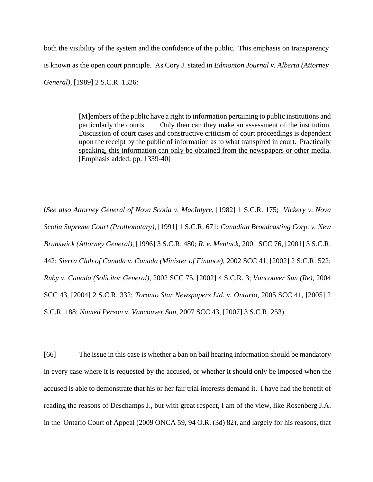both the visibility of the system and the confidence of the public. This emphasis on transparency is known as the open court principle. As Cory J. stated in *Edmonton Journal v. Alberta (Attorney General)*, [1989] 2 S.C.R. 1326:

> [M]embers of the public have a right to information pertaining to public institutions and particularly the courts. . . . Only then can they make an assessment of the institution. Discussion of court cases and constructive criticism of court proceedings is dependent upon the receipt by the public of information as to what transpired in court. Practically speaking, this information can only be obtained from the newspapers or other media. [Emphasis added; pp. 1339-40]

(*See also Attorney General of Nova Scotia v. MacIntyre*, [1982] 1 S.C.R. 175; *Vickery v. Nova Scotia Supreme Court (Prothonotary)*, [1991] 1 S.C.R. 671; *Canadian Broadcasting Corp. v. New Brunswick (Attorney General)*, [1996] 3 S.C.R. 480; *R. v. Mentuck*, 2001 SCC 76, [2001] 3 S.C.R. 442; *Sierra Club of Canada v. Canada (Minister of Finance)*, 2002 SCC 41, [2002] 2 S.C.R. 522; *Ruby v. Canada (Solicitor General)*, 2002 SCC 75, [2002] 4 S.C.R. 3; *Vancouver Sun (Re)*, 2004 SCC 43, [2004] 2 S.C.R. 332; *Toronto Star Newspapers Ltd. v. Ontario*, 2005 SCC 41, [2005] 2 S.C.R. 188; *Named Person v. Vancouver Sun*, 2007 SCC 43, [2007] 3 S.C.R. 253).

[66] The issue in this case is whether a ban on bail hearing information should be mandatory in every case where it is requested by the accused, or whether it should only be imposed when the accused is able to demonstrate that his or her fair trial interests demand it. I have had the benefit of reading the reasons of Deschamps J., but with great respect, I am of the view, like Rosenberg J.A. in the Ontario Court of Appeal (2009 ONCA 59, 94 O.R. (3d) 82), and largely for his reasons, that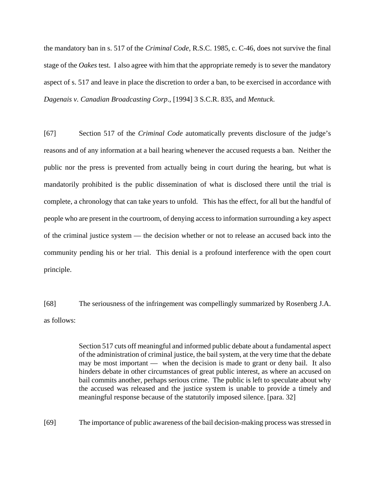the mandatory ban in s. 517 of the *Criminal Code*, R.S.C. 1985, c. C-46, does not survive the final stage of the *Oakes* test. I also agree with him that the appropriate remedy is to sever the mandatory aspect of s. 517 and leave in place the discretion to order a ban, to be exercised in accordance with *Dagenais v. Canadian Broadcasting Corp*., [1994] 3 S.C.R. 835, and *Mentuck*.

[67] Section 517 of the *Criminal Code* automatically prevents disclosure of the judge's reasons and of any information at a bail hearing whenever the accused requests a ban. Neither the public nor the press is prevented from actually being in court during the hearing, but what is mandatorily prohibited is the public dissemination of what is disclosed there until the trial is complete, a chronology that can take years to unfold. This has the effect, for all but the handful of people who are present in the courtroom, of denying access to information surrounding a key aspect of the criminal justice system — the decision whether or not to release an accused back into the community pending his or her trial. This denial is a profound interference with the open court principle.

[68] The seriousness of the infringement was compellingly summarized by Rosenberg J.A. as follows:

> Section 517 cuts off meaningful and informed public debate about a fundamental aspect of the administration of criminal justice, the bail system, at the very time that the debate may be most important — when the decision is made to grant or deny bail. It also hinders debate in other circumstances of great public interest, as where an accused on bail commits another, perhaps serious crime. The public is left to speculate about why the accused was released and the justice system is unable to provide a timely and meaningful response because of the statutorily imposed silence. [para. 32]

[69] The importance of public awareness of the bail decision-making process was stressed in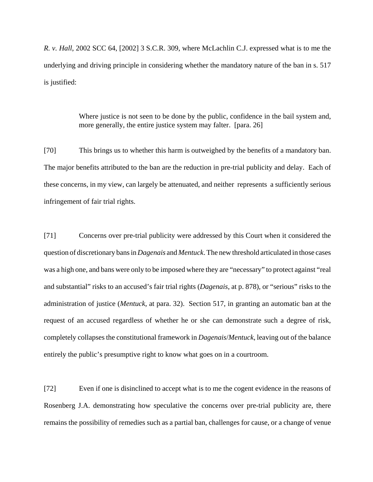*R. v. Hall*, 2002 SCC 64, [2002] 3 S.C.R. 309, where McLachlin C.J. expressed what is to me the underlying and driving principle in considering whether the mandatory nature of the ban in s. 517 is justified:

> Where justice is not seen to be done by the public, confidence in the bail system and, more generally, the entire justice system may falter. [para. 26]

[70] This brings us to whether this harm is outweighed by the benefits of a mandatory ban. The major benefits attributed to the ban are the reduction in pre-trial publicity and delay. Each of these concerns, in my view, can largely be attenuated, and neither represents a sufficiently serious infringement of fair trial rights.

[71] Concerns over pre-trial publicity were addressed by this Court when it considered the question of discretionary bans in *Dagenais* and *Mentuck*. The new threshold articulated in those cases was a high one, and bans were only to be imposed where they are "necessary" to protect against "real and substantial" risks to an accused's fair trial rights (*Dagenais*, at p. 878), or "serious" risks to the administration of justice (*Mentuck*, at para. 32). Section 517, in granting an automatic ban at the request of an accused regardless of whether he or she can demonstrate such a degree of risk, completely collapses the constitutional framework in *Dagenais*/*Mentuck*, leaving out of the balance entirely the public's presumptive right to know what goes on in a courtroom.

[72] Even if one is disinclined to accept what is to me the cogent evidence in the reasons of Rosenberg J.A. demonstrating how speculative the concerns over pre-trial publicity are, there remains the possibility of remedies such as a partial ban, challenges for cause, or a change of venue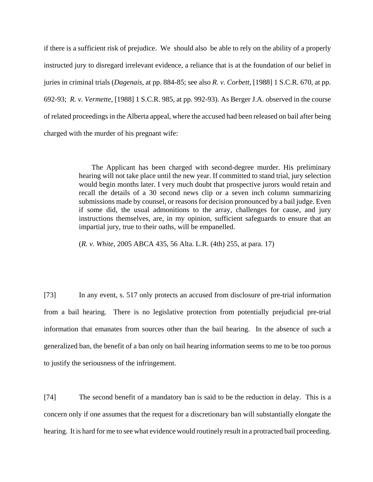if there is a sufficient risk of prejudice. We should also be able to rely on the ability of a properly instructed jury to disregard irrelevant evidence, a reliance that is at the foundation of our belief in juries in criminal trials (*Dagenais*, at pp. 884-85; see also *R. v. Corbett*, [1988] 1 S.C.R. 670, at pp. 692-93; *R. v. Vermette*, [1988] 1 S.C.R. 985, at pp. 992-93). As Berger J.A. observed in the course of related proceedings in the Alberta appeal, where the accused had been released on bail after being charged with the murder of his pregnant wife:

> The Applicant has been charged with second-degree murder. His preliminary hearing will not take place until the new year. If committed to stand trial, jury selection would begin months later. I very much doubt that prospective jurors would retain and recall the details of a 30 second news clip or a seven inch column summarizing submissions made by counsel, or reasons for decision pronounced by a bail judge. Even if some did, the usual admonitions to the array, challenges for cause, and jury instructions themselves, are, in my opinion, sufficient safeguards to ensure that an impartial jury, true to their oaths, will be empanelled.

(*R. v. White*, 2005 ABCA 435, 56 Alta. L.R. (4th) 255, at para. 17)

[73] In any event, s. 517 only protects an accused from disclosure of pre-trial information from a bail hearing. There is no legislative protection from potentially prejudicial pre-trial information that emanates from sources other than the bail hearing. In the absence of such a generalized ban, the benefit of a ban only on bail hearing information seems to me to be too porous to justify the seriousness of the infringement.

[74] The second benefit of a mandatory ban is said to be the reduction in delay. This is a concern only if one assumes that the request for a discretionary ban will substantially elongate the hearing. It is hard for me to see what evidence would routinely result in a protracted bail proceeding.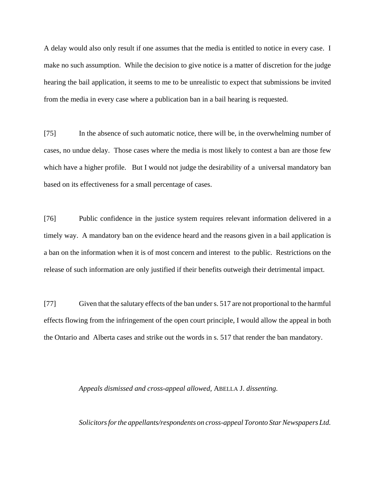A delay would also only result if one assumes that the media is entitled to notice in every case. I make no such assumption. While the decision to give notice is a matter of discretion for the judge hearing the bail application, it seems to me to be unrealistic to expect that submissions be invited from the media in every case where a publication ban in a bail hearing is requested.

[75] In the absence of such automatic notice, there will be, in the overwhelming number of cases, no undue delay. Those cases where the media is most likely to contest a ban are those few which have a higher profile. But I would not judge the desirability of a universal mandatory ban based on its effectiveness for a small percentage of cases.

[76] Public confidence in the justice system requires relevant information delivered in a timely way. A mandatory ban on the evidence heard and the reasons given in a bail application is a ban on the information when it is of most concern and interest to the public. Restrictions on the release of such information are only justified if their benefits outweigh their detrimental impact.

[77] Given that the salutary effects of the ban under s. 517 are not proportional to the harmful effects flowing from the infringement of the open court principle, I would allow the appeal in both the Ontario and Alberta cases and strike out the words in s. 517 that render the ban mandatory.

### *Appeals dismissed and cross-appeal allowed,* ABELLA J. *dissenting.*

*Solicitors for the appellants/respondents on cross-appeal Toronto Star Newspapers Ltd.*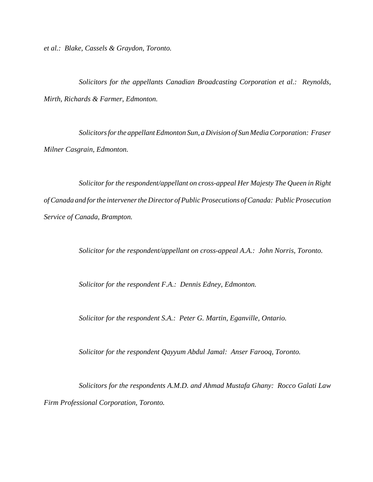*et al.: Blake, Cassels & Graydon, Toronto.*

*Solicitors for the appellants Canadian Broadcasting Corporation et al.: Reynolds, Mirth, Richards & Farmer, Edmonton.*

*Solicitors for the appellant Edmonton Sun, a Division of Sun Media Corporation: Fraser Milner Casgrain, Edmonton.*

*Solicitor for the respondent/appellant on cross-appeal Her Majesty The Queen in Right of Canada and for the intervener the Director of Public Prosecutions of Canada: Public Prosecution Service of Canada, Brampton.*

*Solicitor for the respondent/appellant on cross-appeal A.A.: John Norris, Toronto.*

*Solicitor for the respondent F.A.: Dennis Edney, Edmonton.*

*Solicitor for the respondent S.A.: Peter G. Martin, Eganville, Ontario.*

*Solicitor for the respondent Qayyum Abdul Jamal: Anser Farooq, Toronto.*

*Solicitors for the respondents A.M.D. and Ahmad Mustafa Ghany: Rocco Galati Law Firm Professional Corporation, Toronto.*